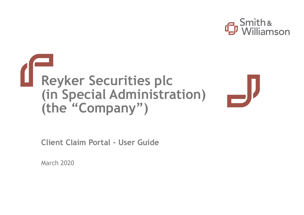

# **Reyker Securities plc (in Special Administration) (the "Company")**

**Client Claim Portal - User Guide**

March 2020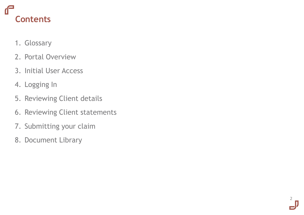# **Contents**

- 1. Glossary
- 2. Portal Overview
- 3. Initial User Access
- 4. Logging In
- 5. Reviewing Client details
- 6. Reviewing Client statements

2

- 7. Submitting your claim
- 8. Document Library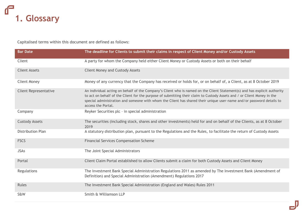

Capitalised terms within this document are defined as follows:

| <b>Bar Date</b>              | The deadline for Clients to submit their claims in respect of Client Money and/or Custody Assets                                                                                                                                                                                                                                                                                                   |
|------------------------------|----------------------------------------------------------------------------------------------------------------------------------------------------------------------------------------------------------------------------------------------------------------------------------------------------------------------------------------------------------------------------------------------------|
| Client                       | A party for whom the Company held either Client Money or Custody Assets or both on their behalf                                                                                                                                                                                                                                                                                                    |
| <b>Client Assets</b>         | <b>Client Money and Custody Assets</b>                                                                                                                                                                                                                                                                                                                                                             |
| <b>Client Money</b>          | Money of any currency that the Company has received or holds for, or on behalf of, a Client, as at 8 October 2019                                                                                                                                                                                                                                                                                  |
| <b>Client Representative</b> | An individual acting on behalf of the Company's Client who is named on the Client Statement(s) and has explicit authority<br>to act on behalf of the Client for the purpose of submitting their claim to Custody Assets and / or Client Money in the<br>special administration and someone with whom the Client has shared their unique user-name and/or password details to<br>access the Portal. |
| Company                      | Reyker Securities plc - in special administration                                                                                                                                                                                                                                                                                                                                                  |
| <b>Custody Assets</b>        | The securities (including stock, shares and other investments) held for and on behalf of the Clients, as at 8 October<br>2019                                                                                                                                                                                                                                                                      |
| Distribution Plan            | A statutory distribution plan, pursuant to the Regulations and the Rules, to facilitate the return of Custody Assets                                                                                                                                                                                                                                                                               |
| <b>FSCS</b>                  | <b>Financial Services Compensation Scheme</b>                                                                                                                                                                                                                                                                                                                                                      |
| <b>JSAs</b>                  | The Joint Special Administrators                                                                                                                                                                                                                                                                                                                                                                   |
| Portal                       | Client Claim Portal established to allow Clients submit a claim for both Custody Assets and Client Money                                                                                                                                                                                                                                                                                           |
| <b>Regulations</b>           | The Investment Bank Special Administration Regulations 2011 as amended by The Investment Bank (Amendment of<br>Definition) and Special Administration (Amendment) Regulations 2017                                                                                                                                                                                                                 |
| Rules                        | The Investment Bank Special Administration (England and Wales) Rules 2011                                                                                                                                                                                                                                                                                                                          |
| S&W                          | Smith & Williamson LLP                                                                                                                                                                                                                                                                                                                                                                             |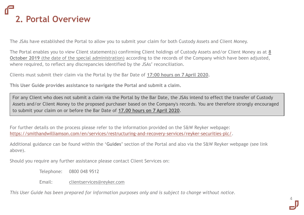# **2. Portal Overview**

The JSAs have established the Portal to allow you to submit your claim for both Custody Assets and Client Money.

The Portal enables you to view Client statement(s) confirming Client holdings of Custody Assets and/or Client Money as at **8 October 2019** (the date of the special administration) according to the records of the Company which have been adjusted, where required, to reflect any discrepancies identified by the JSAs' reconciliation.

Clients must submit their claim via the Portal by the Bar Date of **17:00 hours on 7 April 2020.** 

**This User Guide provides assistance to navigate the Portal and submit a claim.**

For any Client who does not submit a claim via the Portal by the Bar Date, the JSAs intend to effect the transfer of Custody Assets and/or Client Money to the proposed purchaser based on the Company's records. You are therefore strongly encouraged to submit your claim on or before the Bar Date of **17.00 hours on 7 April 2020**.

For further details on the process please refer to the information provided on the S&W Reyker webpage: [https://smithandwilliamson.com/en/services/restructuring-and-recovery-services/reyker-securities-plc/.](https://smithandwilliamson.com/en/services/restructuring-and-recovery-services/reyker-securities-plc/)

Additional guidance can be found within the '**Guides'** section of the Portal and also via the S&W Reyker webpage (see link above).

Should you require any further assistance please contact Client Services on:

Telephone: 0800 048 9512

Email: [clientservices@reyker.com](mailto:clientservices@reyker.com)

*This User Guide has been prepared for information purposes only and is subject to change without notice.*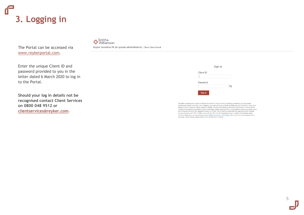# **3. Logging in**

The Portal can be accessed via [www.reykerportal.com.](http://www.reykerportal.com/)

Smith &

Revker Securities Plc (in special administration) Client Claim Portal

Enter the unique Client ID and password provided to you in the letter dated 6 March 2020 to log in to the Portal.

**Should your log in details not be recognised contact Client Services on 0800 048 9512 or [clientservices@reyker.com](mailto:clientservices@reyker.com) .**

|           | Sign in |  |
|-----------|---------|--|
| Client ID |         |  |
| Password  |         |  |
| Sign in   |         |  |

The affairs, business and property of Reyker Securities PIc ('the Company') are being managed by the joint special inter animals, susai less an u. Juolpei Jean Stephens, and Henry Shinners of Smith & Williamson LLP ("the JSAS"). They act as<br>administrators Mark Ford, Adam Henry Stephens, and Henry Shinners of Smith & Williamson LLP ("th the Companies Act 2006 with registered number 01747595. The Company is authorised and regulated by the Financial Conduct Authority with FRN 115308. Former LSE No: 780. The Fair Processing Notice in relation to the General Data Protection Regulation can be accessed at www.smithandwilliamson.com/rrsgdpr. Should you wish to be supplied with a hard copy, free of charge, please contact Smith & Williamson's offices.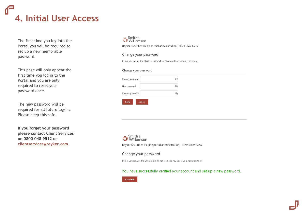

The first time you log into the Portal you will be required to set up a new memorable password.

This page will only appear the first time you log in to the Portal and you are only required to reset your password once.

The new password will be required for all future log-ins. Please keep this safe.

**If you forget your password please contact Client Services on 0800 048 9512 or [clientservices@reyker.com](mailto:clientservices@reyker.com)**.

#### Smith & **G** Smith &

Reyker Securities Plc (in special administration) Client Claim Portal

### Change your password

Before you can use the Client Claim Portal, we need you to set up a new password.

#### Change your password



Smith &<br>**D** Williamson Revker Securities Plc (in special administration) Client Claim Portal

Change your password

Before you can use the Client Claim Portal, we need you to set up a new password.

### You have successfully verified your account and set up a new password.

Continue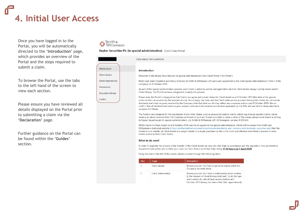# **4. Initial User Access**

Once you have logged in to the Portal, you will be automatically directed to the **'Introduction'** page, which provides an overview of the Portal and the steps required to submit a claim.

To browse the Portal, use the tabs to the left hand of the screen to view each section.

Please ensure you have reviewed all details displayed on the Portal prior to submitting a claim via the **'Declaration'** page.

Further guidance on the Portal can be found within the **'Guides'** section.

## Smith &<br>**D** Williamson

Revker Securities Plc (in special administration) Client Claim Portal

 $\overline{c}$ 

Client statement(s)

|                                                                                        |                                                                                                                                                                                                                                                                                                                                                                                                                                                                                                                                                                                                                             | Claim status: Not submitted                                                                                                                                                                                                                                                                                                                                                                                                                                                                       |                                                                                      |  |  |  |  |
|----------------------------------------------------------------------------------------|-----------------------------------------------------------------------------------------------------------------------------------------------------------------------------------------------------------------------------------------------------------------------------------------------------------------------------------------------------------------------------------------------------------------------------------------------------------------------------------------------------------------------------------------------------------------------------------------------------------------------------|---------------------------------------------------------------------------------------------------------------------------------------------------------------------------------------------------------------------------------------------------------------------------------------------------------------------------------------------------------------------------------------------------------------------------------------------------------------------------------------------------|--------------------------------------------------------------------------------------|--|--|--|--|
| Introduction                                                                           | Introduction                                                                                                                                                                                                                                                                                                                                                                                                                                                                                                                                                                                                                |                                                                                                                                                                                                                                                                                                                                                                                                                                                                                                   |                                                                                      |  |  |  |  |
| Client details                                                                         |                                                                                                                                                                                                                                                                                                                                                                                                                                                                                                                                                                                                                             | Welcome to the Reyker Securities plc (in special administration) Client Claim Portal ("the Portal").                                                                                                                                                                                                                                                                                                                                                                                              |                                                                                      |  |  |  |  |
| Client statement(s)                                                                    |                                                                                                                                                                                                                                                                                                                                                                                                                                                                                                                                                                                                                             | Mark Ford, Adam Stephens and Henry Shinners of Smith & Williamson LLP were each appointed as the Joint Special Administrators ("JSAs") of the<br>Company on 8 October 2019.                                                                                                                                                                                                                                                                                                                       |                                                                                      |  |  |  |  |
| Declaration<br>Document library                                                        |                                                                                                                                                                                                                                                                                                                                                                                                                                                                                                                                                                                                                             | As part of the special administration process, each Client is asked to submit and agree their claim to Client Assets, being Custody Assets and/or<br>Client Money. The Portal has been designed to simplify this process.                                                                                                                                                                                                                                                                         |                                                                                      |  |  |  |  |
| Guides                                                                                 | Please note, the Portal is designed so that Clients can agree and submit claims for Client Assets as at 8 October 2019 (the date of the special<br>administration as required by the legislation) only. Accordingly, the claim and the Client statement(s) accessed through this Portal do not include<br>dividends and bond coupons received by the Company after that date nor do they reflect any corporate actions post 8 October 2019. We can<br>confirm that all dividend and bond coupon receipts continue to be received and banked separately by the JSAs and are held in designated bank<br>accounts for Clients. |                                                                                                                                                                                                                                                                                                                                                                                                                                                                                                   |                                                                                      |  |  |  |  |
|                                                                                        |                                                                                                                                                                                                                                                                                                                                                                                                                                                                                                                                                                                                                             | The Portal is not designed for the submission of any other claims, such as unsecured creditor claims, which may include supplier claims, claims<br>relating to advice received from the Company or breach of contract. Should you wish to make a claim of this nature, please send details in writing<br>to Reyker Securities plc (in special administration), c/o Smith & Williamson LLP, 25 Moorgate, London, EC2R 6AY.                                                                         |                                                                                      |  |  |  |  |
|                                                                                        |                                                                                                                                                                                                                                                                                                                                                                                                                                                                                                                                                                                                                             | Whilst claims to Client Assets as at 8 October 2019 need to be agreed in the special administration, Clients will be aware from Smith and<br>Williamson's dedicated website (https://smithandwilliamson.com/en/services/restructuring-and-recovery-services/reyker-securities-plc/) that the<br>intention is to transfer all Client Assets in a single transfer to a single purchaser as this is the most cost effective and efficient process to allow<br>Clients access to their Client Assets. |                                                                                      |  |  |  |  |
| What to do next?                                                                       |                                                                                                                                                                                                                                                                                                                                                                                                                                                                                                                                                                                                                             |                                                                                                                                                                                                                                                                                                                                                                                                                                                                                                   |                                                                                      |  |  |  |  |
|                                                                                        | In order to expedite the process of the transfer of the Client Assets we have set a Bar Date in accordance with the legislation. You are therefore<br>required to take action and confirm your claim to Client Assets by the Bar Date, being 17.00 hours on 7 April 2020.                                                                                                                                                                                                                                                                                                                                                   |                                                                                                                                                                                                                                                                                                                                                                                                                                                                                                   |                                                                                      |  |  |  |  |
| Using the links to the left of the screen, please proceed through the following steps: |                                                                                                                                                                                                                                                                                                                                                                                                                                                                                                                                                                                                                             |                                                                                                                                                                                                                                                                                                                                                                                                                                                                                                   |                                                                                      |  |  |  |  |
|                                                                                        | <b>Step</b>                                                                                                                                                                                                                                                                                                                                                                                                                                                                                                                                                                                                                 | Stage                                                                                                                                                                                                                                                                                                                                                                                                                                                                                             | <b>Description</b>                                                                   |  |  |  |  |
|                                                                                        |                                                                                                                                                                                                                                                                                                                                                                                                                                                                                                                                                                                                                             | Client details                                                                                                                                                                                                                                                                                                                                                                                                                                                                                    | Review your (or the Client's) personal details which the<br>Company currently holds. |  |  |  |  |

Review your (or the Client's) statement(s) which confirm (i) the balance of Client Money held and / or (ii) the type and number of units of each security held as at 8 October 2019 (being the date of the JSAs' appointment).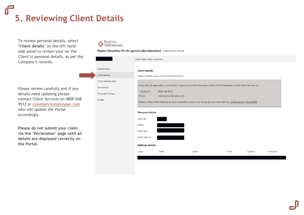## **5. Reviewing Client Details**

To review personal details, select **'Client details'** on the left hand side panel to review your (or the Client's) personal details, as per the Company's records.

Please review carefully and if any details need updating please contact Client Services on 0800 048 9512 or [clientservices@reyker.com](mailto:clientservices@reyker.com) who will update the Portal accordingly.

**Please do not submit your claim via the 'Declaration' page until all details are displayed correctly on the Portal.**

## Smith &<br>**D** Williamson

### Reyker Securities Plc (in special administration) Client Claim Portal

|                     | Claim status: Not submitted                                                                                                   |  |  |  |
|---------------------|-------------------------------------------------------------------------------------------------------------------------------|--|--|--|
| Introduction        | <b>Client details</b>                                                                                                         |  |  |  |
| Client details      | Please carefully review the Client details below.                                                                             |  |  |  |
| Client statement(s) |                                                                                                                               |  |  |  |
| Declaration         | If you do not agree with, or would like to query, any of the information within the Portal please contact Client Services on: |  |  |  |
| Document library    | Telephone:<br>0800 048 9512<br>Email:<br>clientservices@reyker.com                                                            |  |  |  |
| Guides              | Please contact Client Services as early as possible. Claims must be agreed and submitted by 17.00 hours on 7 April 2020.      |  |  |  |
|                     | <b>Personal details</b>                                                                                                       |  |  |  |
|                     | Client ID                                                                                                                     |  |  |  |
|                     | Name                                                                                                                          |  |  |  |
|                     | Birth date                                                                                                                    |  |  |  |
|                     | Email address                                                                                                                 |  |  |  |
|                     | <b>Address details</b>                                                                                                        |  |  |  |
|                     | Postcode<br>Line1<br>Line2<br>Town<br>County<br>Type                                                                          |  |  |  |
|                     |                                                                                                                               |  |  |  |
|                     |                                                                                                                               |  |  |  |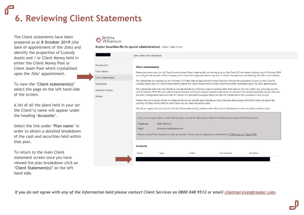# **6. Reviewing Client Statements**

The Client statements have been prepared as at **8 October 2019** (the date of appointment of the JSAs) and identify the proportion of Custody Assets and / or Client Money held in either the Client Money Pool or Client Asset Pool which crystallised upon the JSAs' appointment.

To view the '**Client statement(s)'**  select the page on the left hand side of the screen.

A list of all the plans held in your (or the Client's) name will appear under the heading '**Accounts**'.

Select the link under '**Plan name**' in order to obtain a detailed breakdown of the cash and securities held within that plan.

To return to the main Client statement screen once you have viewed the plan breakdown click on '**Client Statement(s)'** on the left hand side.



#### Revker Securities Plc (in special administration) Client Claim Portal

|                     | Claim status: Not submitted                                                                                                                                                                                                                                                                   |  |  |  |  |
|---------------------|-----------------------------------------------------------------------------------------------------------------------------------------------------------------------------------------------------------------------------------------------------------------------------------------------|--|--|--|--|
| Introduction        | Client statement(s)                                                                                                                                                                                                                                                                           |  |  |  |  |
| Client details      | Please see below your (or the Client's) personalised Client statement(s) confirming your (or the Client's) Client Asset holdings as at 8 October 2019                                                                                                                                         |  |  |  |  |
| Client statement(s) | according to the records of the Company which have been adjusted, where required, to reflect discrepancies identified by the JSAs' reconciliation.                                                                                                                                            |  |  |  |  |
| Declaration         | The statements are prepared as at 8 October 2019 (the date of appointment of the JSAs) and identify the proportion of your (or the Client's)<br>Custody Assets and / or Client Money held in either the Client Money Pool or Client Asset Pool which crystallised upon the JSAs' appointment. |  |  |  |  |
| Document library    | The statements below do not, therefore, include dividends and bond coupons received after that date nor do they reflect any corporate actions<br>post 8 October 2019. We can confirm that all dividend and bond coupon receipts continue to be received and banked separately by the JSAs and |  |  |  |  |
| Guides              | are held in designated bank accounts for Clients. It is presently envisaged these will also be transferred to the purchaser in due course.                                                                                                                                                    |  |  |  |  |
|                     | Please note, for Custody Assets, the statement(s) do not include asset valuations. This is because the purpose of the Bar Date is to agree the<br>quantity of Client Assets held for each Client and not their respective value.                                                              |  |  |  |  |
|                     | Should you agree with your (or the Client's) Client statement(s), please confirm this via the 'Declaration' screen to validly submit a claim.                                                                                                                                                 |  |  |  |  |
|                     | If you do not agree with, or would like to query, any of the information within the Portal please contact Client Services on:<br>Telephone:<br>0800 048 9512<br>Email:<br>clientservices@reyker.com                                                                                           |  |  |  |  |
|                     | Please contact Client Services as early as possible. Claims must be agreed and submitted by 17.00 hours on 7 April 2020.                                                                                                                                                                      |  |  |  |  |
|                     | <b>Accounts</b>                                                                                                                                                                                                                                                                               |  |  |  |  |
|                     | Cash balance<br>Name<br>Securities<br>Type<br>Status                                                                                                                                                                                                                                          |  |  |  |  |
|                     |                                                                                                                                                                                                                                                                                               |  |  |  |  |
|                     |                                                                                                                                                                                                                                                                                               |  |  |  |  |

*If you do not agree with any of the information held please contact Client Services on 0800 048 9512 or email [clientservices@reyker.com](mailto:clientservices@reyker.com).*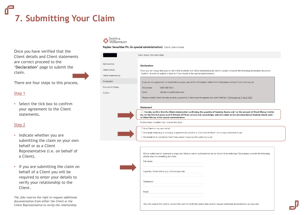# **7. Submitting Your Claim**

Once you have verified that the Client details and Client statements are correct proceed to the '**Declaration'** page to submit the claim.

There are four steps to this process.

### Step 1

• Select the tick box to confirm your agreement to the Client statements.

### Step 2

- Indicate whether you are submitting the claim on your own behalf or as a Client Representative (i.e. on behalf of a Client).
- If you are submitting the claim on behalf of a Client you will be required to enter your details to verify your relationship to the Client.

*The JSAs reserve the right to request additional documentation from either the Client or the Client Representative to verify the relationship*

### Smith<br>Williamson  $\mathbb{C}$

Reyker Securities Plc (in special administration) Client Claim Portal

|                                                       | Claim status: Not submitted                                                                                                                                                                                                                                                                                                                                 |  |  |  |
|-------------------------------------------------------|-------------------------------------------------------------------------------------------------------------------------------------------------------------------------------------------------------------------------------------------------------------------------------------------------------------------------------------------------------------|--|--|--|
| Introduction<br>Client details<br>Client statement(s) | <b>Declaration</b><br>Once you are happy that your (or the Client's) details and Client statement(s) are correct, please complete the following declaration and press<br>"confirm" in order to submit a claim to Client Assets in the special administration.                                                                                               |  |  |  |
| Declaration                                           | If you do not agree with, or would like to query, any of the information within the Portal please contact Client Services on:                                                                                                                                                                                                                               |  |  |  |
| Document library<br>Guides                            | 0800 048 9512<br>Telephone:<br>clientservices@reyker.com<br>Email:<br>Please contact Client Services as early as possible. Claims must be agreed and submitted by 17.00 hours on 7 April 2020.                                                                                                                                                              |  |  |  |
|                                                       | <b>Statement</b><br>$\Box$ I hereby confirm that the Client statement(s) confirming the quantity of Custody Assets and / or the amount of Client Money held in<br>my (or the Client's) plans as at 8 October 2019 are correct and, accordingly, submit a claim to the aforementioned Custody Assets and /<br>or Client Money in the special administration. |  |  |  |
| Furthermore. I confirm that I submit the claim        |                                                                                                                                                                                                                                                                                                                                                             |  |  |  |
|                                                       | $\bigcirc$ As a Client on my own behalf<br>$\bigcirc$ As a legal entity (e.g. a company or partnership) which is a Client and of which I am a duly authorised to act<br>$\bigcirc$ On behalf of an individual Client from whom I have specific authority to act                                                                                             |  |  |  |
|                                                       | Where authorised to represent a corporate Client or where authorised to act on behalf of an individual Client please provide the following<br>details prior to submitting the claim:<br>Full name:<br>Capacity / Relationship (e.g. director/spouse):<br>Telephone:                                                                                         |  |  |  |
|                                                       | Email:                                                                                                                                                                                                                                                                                                                                                      |  |  |  |
|                                                       | The JSAs reserve the right to contact the client to verify the relationship and/or request additional documentation as required.                                                                                                                                                                                                                            |  |  |  |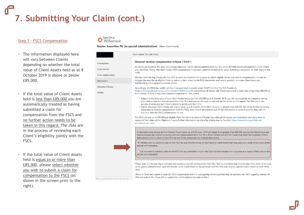# **7. Submitting Your Claim (cont.)**

### Step 3 - FSCS Compensation

- The information displayed here will vary between Clients depending on whether the total value of Client Assets held as at 8 October 2019 is above or below £85,000.
- If the total value of Client Assets held is less than £85,000 you are automatically treated as having submitted a claim for compensation from the FSCS and no further action needs to be taken in this regard. The JSAs are in the process of reviewing each Client's eligibility jointly with the FSCS.
- If the total value of Client Assets held is equal to or more than £85,000, please select whether you wish to submit a claim for compensation to the FSCS (as shown in the screen print to the right).

## Smith &<br>Williamson

#### Reyker Securities Plc (in special administration) Client Claim Portal

|                            | Claim status: Not submitted                                                                                                                                                                                                                                                                                                                                                                                                                                                                                                                                                                                                                                                                                                                                           |  |  |  |
|----------------------------|-----------------------------------------------------------------------------------------------------------------------------------------------------------------------------------------------------------------------------------------------------------------------------------------------------------------------------------------------------------------------------------------------------------------------------------------------------------------------------------------------------------------------------------------------------------------------------------------------------------------------------------------------------------------------------------------------------------------------------------------------------------------------|--|--|--|
| Introduction               | Financial Services Compensation Scheme ("FSCS")                                                                                                                                                                                                                                                                                                                                                                                                                                                                                                                                                                                                                                                                                                                       |  |  |  |
| Client details             | As previously reported, the costs of pursuing Objective 1 of the special administration (i.e. the return of Client Assets) are paid from Client Assets<br>and, therefore, Clients who don't receive FSCS compensation may have a shortfall in their client assets following a deduction for their share of the                                                                                                                                                                                                                                                                                                                                                                                                                                                        |  |  |  |
| Client statement(s)        | costs.                                                                                                                                                                                                                                                                                                                                                                                                                                                                                                                                                                                                                                                                                                                                                                |  |  |  |
| Declaration                | We have been liaising closely with the FSCS in order to streamline the process by which eligible Clients may receive compensation in order to<br>mitigate the need for an eligible Client to submit a claim direct to the FSCS themselves and, where possible, to ensure Client Assets are<br>transferred to the proposed purchaser whole.                                                                                                                                                                                                                                                                                                                                                                                                                            |  |  |  |
| Document library<br>Guides | Accordingly, the FSCS has confirmed that it has exercised its power under COMP 3.2.1A of the FCA Handbook<br>(https://www.handbook.fca.org.uk/handbook/COMP/3/2.html) and will treat all Clients with Client Assets with a total value of less than £85,000 as<br>at 8 October 2019 as if they have claimed compensation. This means:                                                                                                                                                                                                                                                                                                                                                                                                                                 |  |  |  |
|                            | · Subject to the total value of your Client Assets being less then £85,000 as at 8 October 2019, you will automatically be treated as having<br>submitted a claim for compensation from the FSCS and you do not need to take any further action in this regard. The JSAs are in the<br>process of reviewing each Client's eligibility jointly with the FSCS;<br>· Clients who have Client Assets with a total value as at 8 October 2019 either equal to or greater than £85,000 will not be treated as having<br>automatically claimed compensation from the FSCS. Such Clients are asked as part of this Declaration to confirm whether they wish to<br>submit a claim for FSCS compensation or not.                                                                |  |  |  |
|                            | The FSCS can pay up to £85,000 per eligible Client for claims in respect of Reyker Securities plc (in special administration), including those in<br>respect of their share of the Objective 1 costs. Further information on eligibility criteria may be found at https://www.fscs.org.uk/how-we-<br>work/eligibility-rules/                                                                                                                                                                                                                                                                                                                                                                                                                                          |  |  |  |
|                            | As the total value of your (or the Client's) Client Assets as at 8 October 2019 are equal to or greater than £85,000, you (or the Client) have not<br>been automatically treated as having claimed compensation from the FSCS. If you believe you (or the Client) may meet the eligibility criteria<br>and wish to submit a claim to the FSCS via the Portal, please tick the relevant box below.<br>I hereby wish to submit a claim to the FSCS for any shortfall in my (or the Client's) Client Assets that may arise as a result of the costs of the<br>special administration.<br>O I do not wish to submit a claim to the FSCS for any shortfall in my (or the Client's) Client Assets that may arise as a result of the costs of the<br>special administration. |  |  |  |
|                            | Please note, any eligible Client who does not submit a claim for compensation from the FSCS via the Portal may have to meet their share of the costs<br>of the special administration upon the transfer of the Client Assets to the purchaser and the JSAs may reserve sufficient Client Assets to cover these<br>costs                                                                                                                                                                                                                                                                                                                                                                                                                                               |  |  |  |

https://revkerportal.com/introduction

Where a Client does submit a claim for FSCS compensation and it is subsequently determined that they do not meet the FSCS' eligibility criteria, the JSAs will write to the Client with an explanation of the options available to them.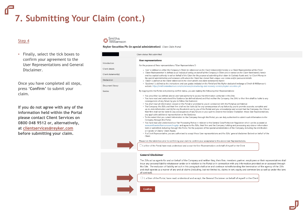# **7. Submitting Your Claim (cont.)**

### Step 4

• Finally, select the tick boxes to confirm your agreement to the User Representations and General Disclaimer.

Once you have completed all steps, press '**Confirm'** to submit your claim.

**If you do not agree with any of the information held within the Portal please contact Client Services on 0800 048 9512 or, alternatively, at [clientservices@reyker.com](mailto:clientservices@reyker.com) before submitting your claim.** 



#### Revker Securities Plc (in special administration) Client Claim Portal

|                                     | Claim status: Not submitted                                                                                                                                                                                                                                                                                                                                                                                                                                                                                                                                                                                                                                                                                                                                                                                                                                                                                                                                                                                                                                                                                                                                                                                                                                                                                                                                                                                                                                                                                                                                                                                                                                                                                                                                                       |  |  |  |
|-------------------------------------|-----------------------------------------------------------------------------------------------------------------------------------------------------------------------------------------------------------------------------------------------------------------------------------------------------------------------------------------------------------------------------------------------------------------------------------------------------------------------------------------------------------------------------------------------------------------------------------------------------------------------------------------------------------------------------------------------------------------------------------------------------------------------------------------------------------------------------------------------------------------------------------------------------------------------------------------------------------------------------------------------------------------------------------------------------------------------------------------------------------------------------------------------------------------------------------------------------------------------------------------------------------------------------------------------------------------------------------------------------------------------------------------------------------------------------------------------------------------------------------------------------------------------------------------------------------------------------------------------------------------------------------------------------------------------------------------------------------------------------------------------------------------------------------|--|--|--|
| troduction                          | <b>User representations</b><br>For the purpose of these representations ("User Representations"):                                                                                                                                                                                                                                                                                                                                                                                                                                                                                                                                                                                                                                                                                                                                                                                                                                                                                                                                                                                                                                                                                                                                                                                                                                                                                                                                                                                                                                                                                                                                                                                                                                                                                 |  |  |  |
| lient details<br>lient statement(s) | • 'User' is defined as either the Company's Client (as referenced on the Client statement(s) herein) or a Client Representative of the Client<br>• 'Client Representative' is defined as an individual acting on behalf of the Company's Client who is named on the Client Statement(s) herein<br>and has explicit authority to act on behalf of the Client for the purpose of submitting their claim to Custody Assets and / or Client Money in<br>the special administration and someone with whom the Client has shared their unique user-name and/or password details.<br>• 'Client' is defined as the Client referenced in the client details and client statement(s) herein<br>• 'Guidance' is defined as the instructions and user quides included on the Portal and the Reyker dedicated webpage of Smith & Williamson's<br>website. https://smithandwilliamson.com/en/services/restructuring-and-recovery-services/reyker-securities-plc                                                                                                                                                                                                                                                                                                                                                                                                                                                                                                                                                                                                                                                                                                                                                                                                                                 |  |  |  |
| eclaration<br>ocument library       |                                                                                                                                                                                                                                                                                                                                                                                                                                                                                                                                                                                                                                                                                                                                                                                                                                                                                                                                                                                                                                                                                                                                                                                                                                                                                                                                                                                                                                                                                                                                                                                                                                                                                                                                                                                   |  |  |  |
| uides                               | By logging into the Portal and pressing confirm below, you are making the following User Representations:                                                                                                                                                                                                                                                                                                                                                                                                                                                                                                                                                                                                                                                                                                                                                                                                                                                                                                                                                                                                                                                                                                                                                                                                                                                                                                                                                                                                                                                                                                                                                                                                                                                                         |  |  |  |
|                                     | . You are a User (as defined above) and have authority to access the information contained in this Site;<br>. You have read and understood the Guidance (as defined above) and that neither the Company, the JSAs' or their firm shall be liable to any<br>consequences of any failure by you to follow the Guidance;<br>• You shall treat all information viewed on the Portal or provided to you in connection with the Portal as confidential;<br>. The Company, the JSAs and their firm shall not be liable (a) for any consequences of any failure by you to provide accurate, complete and<br>up-to-date information and (b) for any fraudulent use by you of the Portal; and you acknowledge and accept that the Company, the JSAs or<br>their firm shall not be liable to any consequences of any failure on your part to observe the General Disclaimer, these User Representations,<br>any applicable additional representation or the Guidance.<br>• To the extent that you submit information to the Company through this Portal, you are duly authorised to submit such information to the<br>Company through this Portal;<br>• You have read and understood our Fair Processing Notice in relation to the General Data Protection Regulation which can be accessed at<br>www.smithandwilliamson.com/rrsgdpr and agree to the JSAs, their firm and the Company holding and processing any data or information<br>held or submitted, including through this Portal, for the purposes of the special administration of the Company, including the distribution<br>or transfer of Clients' Client Assets.<br>. If a Client Representative, you are authorised to accept these User representations and the JSAs' general disclaimer (below) on behalf of the<br>Client. |  |  |  |
|                                     | Please tick the below box prior to confirming your claim to confirm your acceptance to the above User Representations.                                                                                                                                                                                                                                                                                                                                                                                                                                                                                                                                                                                                                                                                                                                                                                                                                                                                                                                                                                                                                                                                                                                                                                                                                                                                                                                                                                                                                                                                                                                                                                                                                                                            |  |  |  |
|                                     | □ I, a User of the Portal, have read, understood and accept the User Representations on behalf of myself or the Client                                                                                                                                                                                                                                                                                                                                                                                                                                                                                                                                                                                                                                                                                                                                                                                                                                                                                                                                                                                                                                                                                                                                                                                                                                                                                                                                                                                                                                                                                                                                                                                                                                                            |  |  |  |
|                                     | <b>General Disclaimer</b>                                                                                                                                                                                                                                                                                                                                                                                                                                                                                                                                                                                                                                                                                                                                                                                                                                                                                                                                                                                                                                                                                                                                                                                                                                                                                                                                                                                                                                                                                                                                                                                                                                                                                                                                                         |  |  |  |
|                                     | The JSAs act as agents for and on behalf of the Company and neither they, their firm, members, partner, employees or their representatives shall<br>incur any personal liability whatsoever under or in relation to the Portal or in connection with any information provided on or accessed through<br>this Site. The exclusion of liability set out in this paragraph shall arise and continue notwithstanding the termination of the agency of the JSAs<br>and shall operate as a waiver of any and all claims (including, but not limited to, claims in tort, equity and common law as well as under the laws                                                                                                                                                                                                                                                                                                                                                                                                                                                                                                                                                                                                                                                                                                                                                                                                                                                                                                                                                                                                                                                                                                                                                                 |  |  |  |

of contract).

Confirm

 $\Box$  I, a User of the Portal, have read, understood and accept, the General Disclaimer on behalf of myself or the Client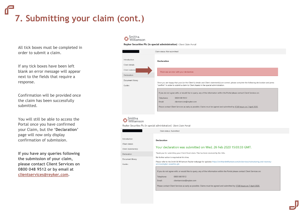**7. Submitting your claim (cont.)**

All tick boxes must be completed in order to submit a claim.

If any tick boxes have been left blank an error message will appear next to the fields that require a response.

Confirmation will be provided once the claim has been successfully submitted.

You will still be able to access the Portal once you have confirmed your Claim, but the **'Declaration'** page will now only display confirmation of submission.

**If you have any queries following the submission of your claim, please contact Client Services on 0800 048 9512 or by email at [clientservices@reyker.com](mailto:clientservices@reyker.com).** 

### Smith &<br>U Williamson

Reyker Securities Plc (in special administration) Client Claim Portal

| Claim status: Not submitted    |                                                                                                                                                                                                                                         |  |  |  |
|--------------------------------|-----------------------------------------------------------------------------------------------------------------------------------------------------------------------------------------------------------------------------------------|--|--|--|
| Introduction<br>Client details | <b>Declaration</b>                                                                                                                                                                                                                      |  |  |  |
| Client statemer                | There was an error with your declaration.                                                                                                                                                                                               |  |  |  |
| Declaration                    |                                                                                                                                                                                                                                         |  |  |  |
| Document library<br>Guides     | Once you are happy that your (or the Client's) details and Client statement(s) are correct, please complete the following declaration and press<br>"confirm" in order to submit a claim to Client Assets in the special administration. |  |  |  |
|                                | If you do not agree with, or would like to query, any of the information within the Portal please contact Client Services on:<br>Telephone:<br>0800 048 9512                                                                            |  |  |  |
|                                | Email:<br>clientservices@reyker.com                                                                                                                                                                                                     |  |  |  |
|                                | Please contact Client Services as early as possible. Claims must be agreed and submitted by 17.00 hours on 7 April 2020.                                                                                                                |  |  |  |
|                                |                                                                                                                                                                                                                                         |  |  |  |

### Smith &

Revker Securities Plc (in special administration) Client Claim Portal

|                                                       | Claim status: Submitted                                                                                                                                                                                                                                                                                                         |  |  |  |
|-------------------------------------------------------|---------------------------------------------------------------------------------------------------------------------------------------------------------------------------------------------------------------------------------------------------------------------------------------------------------------------------------|--|--|--|
| Introduction<br>Client details<br>Client statement(s) | <b>Declaration</b><br>Your declaration was submitted on Wed, 26 Feb 2020 15:03:33 GMT.                                                                                                                                                                                                                                          |  |  |  |
| Declaration                                           | Thank you for submitting your Client Asset claim. This has been received by the JSAs.                                                                                                                                                                                                                                           |  |  |  |
| Document library                                      | No further action is required at this time.                                                                                                                                                                                                                                                                                     |  |  |  |
| Guides                                                | Please refer to the Smith & Williamson Reyker webpage for updates: https://smithandwilliamson.com/en/services/restructuring-and-recovery-<br>services/reyker-securities-plc                                                                                                                                                     |  |  |  |
|                                                       | If you do not agree with, or would like to guery, any of the information within the Portal please contact Client Services on:<br>Telephone:<br>0800 048 9512<br>clientservices@reyker.com<br>Email:<br>Please contact Client Services as early as possible. Claims must be agreed and submitted by 17,00 hours on 7 April 2020. |  |  |  |